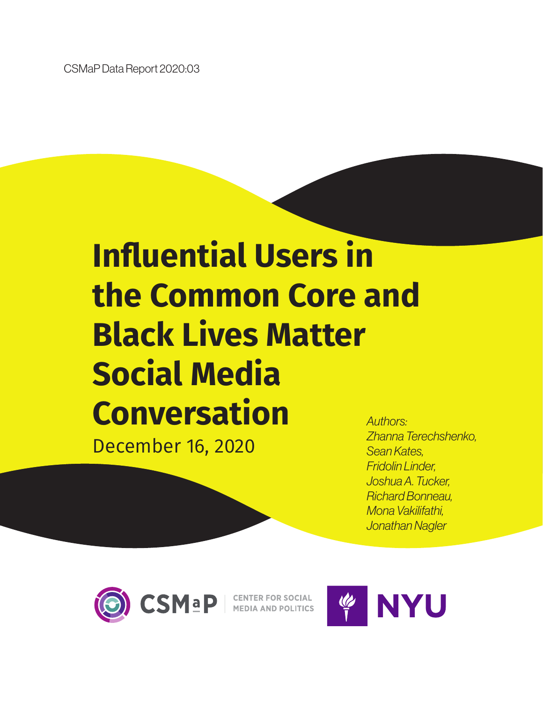CSMaP Data Report 2020:03

# **Influential Users in the Common Core and Black Lives Matter Social Media Conversation** *Authors:*

December 16, 2020

*Zhanna Terechshenko, Sean Kates, Fridolin Linder, Joshua A. Tucker, Richard Bonneau, Mona Vakilifathi, Jonathan Nagler*



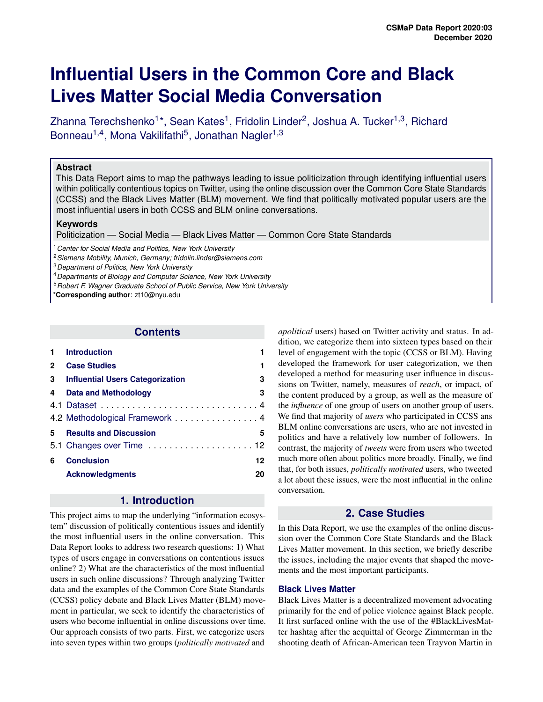# **Influential Users in the Common Core and Black Lives Matter Social Media Conversation**

Zhanna Terechshenko<sup>1\*</sup>, Sean Kates<sup>1</sup>, Fridolin Linder<sup>2</sup>, Joshua A. Tucker<sup>1,3</sup>, Richard Bonneau<sup>1,4</sup>, Mona Vakilifathi<sup>5</sup>, Jonathan Nagler<sup>1,3</sup>

#### **Abstract**

This Data Report aims to map the pathways leading to issue politicization through identifying influential users within politically contentious topics on Twitter, using the online discussion over the Common Core State Standards (CCSS) and the Black Lives Matter (BLM) movement. We find that politically motivated popular users are the most influential users in both CCSS and BLM online conversations.

#### **Keywords**

Politicization — Social Media — Black Lives Matter — Common Core State Standards

<sup>1</sup>*Center for Social Media and Politics, New York University*

<sup>2</sup>*Siemens Mobility, Munich, Germany; fridolin.linder@siemens.com*

<sup>3</sup>*Department of Politics, New York University*

<sup>4</sup>*Departments of Biology and Computer Science, New York University*

<sup>5</sup>*Robert F. Wagner Graduate School of Public Service, New York University*

\***Corresponding author**: zt10@nyu.edu

#### **Contents**

|             | <b>Introduction</b>                     |    |
|-------------|-----------------------------------------|----|
| $\mathbf 2$ | <b>Case Studies</b>                     | 1  |
| 3           | <b>Influential Users Categorization</b> | 3  |
| 4           | Data and Methodology                    | 3  |
|             |                                         |    |
|             | 4.2 Methodological Framework 4          |    |
| 5.          | <b>Results and Discussion</b>           | 5  |
|             |                                         |    |
| 6           | <b>Conclusion</b>                       | 12 |
|             | <b>Acknowledgments</b>                  | 20 |
|             |                                         |    |

# **1. Introduction**

<span id="page-1-0"></span>This project aims to map the underlying "information ecosystem" discussion of politically contentious issues and identify the most influential users in the online conversation. This Data Report looks to address two research questions: 1) What types of users engage in conversations on contentious issues online? 2) What are the characteristics of the most influential users in such online discussions? Through analyzing Twitter data and the examples of the Common Core State Standards (CCSS) policy debate and Black Lives Matter (BLM) movement in particular, we seek to identify the characteristics of users who become influential in online discussions over time. Our approach consists of two parts. First, we categorize users into seven types within two groups (*politically motivated* and

*apolitical* users) based on Twitter activity and status. In addition, we categorize them into sixteen types based on their level of engagement with the topic (CCSS or BLM). Having developed the framework for user categorization, we then developed a method for measuring user influence in discussions on Twitter, namely, measures of *reach*, or impact, of the content produced by a group, as well as the measure of the *influence* of one group of users on another group of users. We find that majority of *users* who participated in CCSS ans BLM online conversations are users, who are not invested in politics and have a relatively low number of followers. In contrast, the majority of *tweets* were from users who tweeted much more often about politics more broadly. Finally, we find that, for both issues, *politically motivated* users, who tweeted a lot about these issues, were the most influential in the online conversation.

# **2. Case Studies**

<span id="page-1-1"></span>In this Data Report, we use the examples of the online discussion over the Common Core State Standards and the Black Lives Matter movement. In this section, we briefly describe the issues, including the major events that shaped the movements and the most important participants.

#### **Black Lives Matter**

Black Lives Matter is a decentralized movement advocating primarily for the end of police violence against Black people. It first surfaced online with the use of the #BlackLivesMatter hashtag after the acquittal of George Zimmerman in the shooting death of African-American teen Trayvon Martin in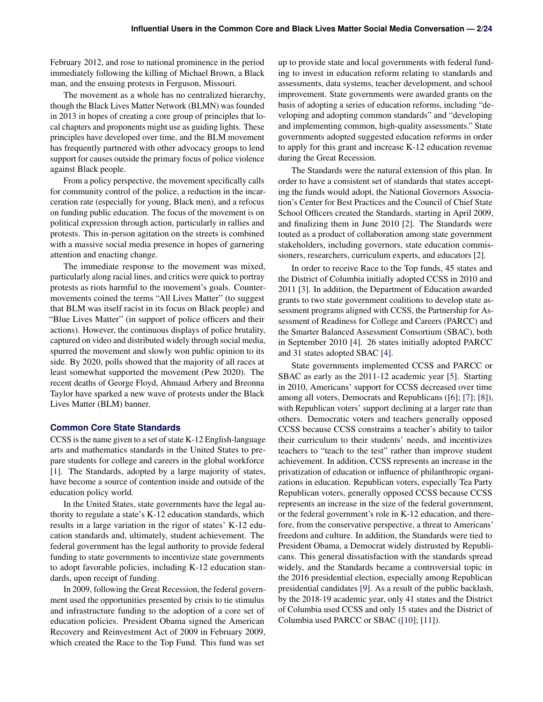February 2012, and rose to national prominence in the period immediately following the killing of Michael Brown, a Black man, and the ensuing protests in Ferguson, Missouri.

The movement as a whole has no centralized hierarchy, though the Black Lives Matter Network (BLMN) was founded in 2013 in hopes of creating a core group of principles that local chapters and proponents might use as guiding lights. These principles have developed over time, and the BLM movement has frequently partnered with other advocacy groups to lend support for causes outside the primary focus of police violence against Black people.

From a policy perspective, the movement specifically calls for community control of the police, a reduction in the incarceration rate (especially for young, Black men), and a refocus on funding public education. The focus of the movement is on political expression through action, particularly in rallies and protests. This in-person agitation on the streets is combined with a massive social media presence in hopes of garnering attention and enacting change.

The immediate response to the movement was mixed, particularly along racial lines, and critics were quick to portray protests as riots harmful to the movement's goals. Countermovements coined the terms "All Lives Matter" (to suggest that BLM was itself racist in its focus on Black people) and "Blue Lives Matter" (in support of police officers and their actions). However, the continuous displays of police brutality, captured on video and distributed widely through social media, spurred the movement and slowly won public opinion to its side. By 2020, polls showed that the majority of all races at least somewhat supported the movement (Pew 2020). The recent deaths of George Floyd, Ahmaud Arbery and Breonna Taylor have sparked a new wave of protests under the Black Lives Matter (BLM) banner.

#### **Common Core State Standards**

CCSS is the name given to a set of state K-12 English-language arts and mathematics standards in the United States to prepare students for college and careers in the global workforce [\[1\]](#page-20-1). The Standards, adopted by a large majority of states, have become a source of contention inside and outside of the education policy world.

In the United States, state governments have the legal authority to regulate a state's K-12 education standards, which results in a large variation in the rigor of states' K-12 education standards and, ultimately, student achievement. The federal government has the legal authority to provide federal funding to state governments to incentivize state governments to adopt favorable policies, including K-12 education standards, upon receipt of funding.

<span id="page-2-0"></span>In 2009, following the Great Recession, the federal government used the opportunities presented by crisis to tie stimulus and infrastructure funding to the adoption of a core set of education policies. President Obama signed the American Recovery and Reinvestment Act of 2009 in February 2009, which created the Race to the Top Fund. This fund was set

up to provide state and local governments with federal funding to invest in education reform relating to standards and assessments, data systems, teacher development, and school improvement. State governments were awarded grants on the basis of adopting a series of education reforms, including "developing and adopting common standards" and "developing and implementing common, high-quality assessments." State governments adopted suggested education reforms in order to apply for this grant and increase K-12 education revenue during the Great Recession.

The Standards were the natural extension of this plan. In order to have a consistent set of standards that states accepting the funds would adopt, the National Governors Association's Center for Best Practices and the Council of Chief State School Officers created the Standards, starting in April 2009, and finalizing them in June 2010 [\[2\]](#page-20-2). The Standards were touted as a product of collaboration among state government stakeholders, including governors, state education commissioners, researchers, curriculum experts, and educators [\[2\]](#page-20-2).

In order to receive Race to the Top funds, 45 states and the District of Columbia initially adopted CCSS in 2010 and 2011 [\[3\]](#page-20-3). In addition, the Department of Education awarded grants to two state government coalitions to develop state assessment programs aligned with CCSS, the Partnership for Assessment of Readiness for College and Careers (PARCC) and the Smarter Balanced Assessment Consortium (SBAC), both in September 2010 [\[4\]](#page-20-4). 26 states initially adopted PARCC and 31 states adopted SBAC [\[4\]](#page-20-4).

State governments implemented CCSS and PARCC or SBAC as early as the 2011-12 academic year [\[5\]](#page-20-5). Starting in 2010, Americans' support for CCSS decreased over time among all voters, Democrats and Republicans ([\[6\]](#page-20-6); [\[7\]](#page-20-7); [\[8\]](#page-20-8)), with Republican voters' support declining at a larger rate than others. Democratic voters and teachers generally opposed CCSS because CCSS constrains a teacher's ability to tailor their curriculum to their students' needs, and incentivizes teachers to "teach to the test" rather than improve student achievement. In addition, CCSS represents an increase in the privatization of education or influence of philanthropic organizations in education. Republican voters, especially Tea Party Republican voters, generally opposed CCSS because CCSS represents an increase in the size of the federal government, or the federal government's role in K-12 education, and therefore, from the conservative perspective, a threat to Americans' freedom and culture. In addition, the Standards were tied to President Obama, a Democrat widely distrusted by Republicans. This general dissatisfaction with the standards spread widely, and the Standards became a controversial topic in the 2016 presidential election, especially among Republican presidential candidates [\[9\]](#page-20-9). As a result of the public backlash, by the 2018-19 academic year, only 41 states and the District of Columbia used CCSS and only 15 states and the District of Columbia used PARCC or SBAC ([\[10\]](#page-20-10); [\[11\]](#page-20-11)).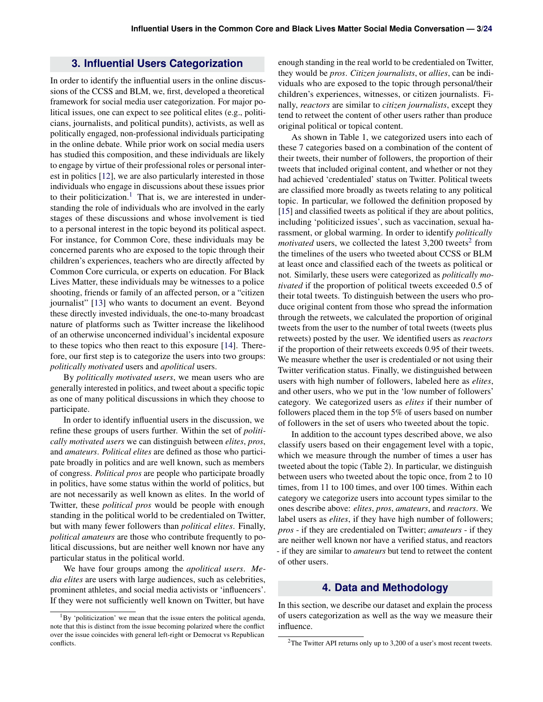# **3. Influential Users Categorization**

In order to identify the influential users in the online discussions of the CCSS and BLM, we, first, developed a theoretical framework for social media user categorization. For major political issues, one can expect to see political elites (e.g., politicians, journalists, and political pundits), activists, as well as politically engaged, non-professional individuals participating in the online debate. While prior work on social media users has studied this composition, and these individuals are likely to engage by virtue of their professional roles or personal interest in politics [\[12\]](#page-20-12), we are also particularly interested in those individuals who engage in discussions about these issues prior to their politicization.<sup>[1](#page-3-1)</sup> That is, we are interested in understanding the role of individuals who are involved in the early stages of these discussions and whose involvement is tied to a personal interest in the topic beyond its political aspect. For instance, for Common Core, these individuals may be concerned parents who are exposed to the topic through their children's experiences, teachers who are directly affected by Common Core curricula, or experts on education. For Black Lives Matter, these individuals may be witnesses to a police shooting, friends or family of an affected person, or a "citizen journalist" [\[13\]](#page-20-13) who wants to document an event. Beyond these directly invested individuals, the one-to-many broadcast nature of platforms such as Twitter increase the likelihood of an otherwise unconcerned individual's incidental exposure to these topics who then react to this exposure [\[14\]](#page-20-14). Therefore, our first step is to categorize the users into two groups: *politically motivated* users and *apolitical* users.

By *politically motivated users*, we mean users who are generally interested in politics, and tweet about a specific topic as one of many political discussions in which they choose to participate.

In order to identify influential users in the discussion, we refine these groups of users further. Within the set of *politically motivated users* we can distinguish between *elites*, *pros*, and *amateurs*. *Political elites* are defined as those who participate broadly in politics and are well known, such as members of congress. *Political pros* are people who participate broadly in politics, have some status within the world of politics, but are not necessarily as well known as elites. In the world of Twitter, these *political pros* would be people with enough standing in the political world to be credentialed on Twitter, but with many fewer followers than *political elites*. Finally, *political amateurs* are those who contribute frequently to political discussions, but are neither well known nor have any particular status in the political world.

We have four groups among the *apolitical users*. *Media elites* are users with large audiences, such as celebrities, prominent athletes, and social media activists or 'influencers'. If they were not sufficiently well known on Twitter, but have

enough standing in the real world to be credentialed on Twitter, they would be *pros*. *Citizen journalists*, or *allies*, can be individuals who are exposed to the topic through personal/their children's experiences, witnesses, or citizen journalists. Finally, *reactors* are similar to *citizen journalists*, except they tend to retweet the content of other users rather than produce original political or topical content.

As shown in Table 1, we categorized users into each of these 7 categories based on a combination of the content of their tweets, their number of followers, the proportion of their tweets that included original content, and whether or not they had achieved 'credentialed' status on Twitter. Political tweets are classified more broadly as tweets relating to any political topic. In particular, we followed the definition proposed by [\[15\]](#page-20-15) and classified tweets as political if they are about politics, including 'politicized issues', such as vaccination, sexual harassment, or global warming. In order to identify *politically motivated* users, we collected the latest  $3,200$  $3,200$  $3,200$  tweets<sup>2</sup> from the timelines of the users who tweeted about CCSS or BLM at least once and classified each of the tweets as political or not. Similarly, these users were categorized as *politically motivated* if the proportion of political tweets exceeded 0.5 of their total tweets. To distinguish between the users who produce original content from those who spread the information through the retweets, we calculated the proportion of original tweets from the user to the number of total tweets (tweets plus retweets) posted by the user. We identified users as *reactors* if the proportion of their retweets exceeds 0.95 of their tweets. We measure whether the user is credentialed or not using their Twitter verification status. Finally, we distinguished between users with high number of followers, labeled here as *elites*, and other users, who we put in the 'low number of followers' category. We categorized users as *elites* if their number of followers placed them in the top 5% of users based on number of followers in the set of users who tweeted about the topic.

In addition to the account types described above, we also classify users based on their engagement level with a topic, which we measure through the number of times a user has tweeted about the topic (Table 2). In particular, we distinguish between users who tweeted about the topic once, from 2 to 10 times, from 11 to 100 times, and over 100 times. Within each category we categorize users into account types similar to the ones describe above: *elites*, *pros*, *amateurs*, and *reactors*. We label users as *elites*, if they have high number of followers; *pros* - if they are credentialed on Twitter; *amateurs* - if they are neither well known nor have a verified status, and reactors - if they are similar to *amateurs* but tend to retweet the content of other users.

# **4. Data and Methodology**

<span id="page-3-0"></span>In this section, we describe our dataset and explain the process of users categorization as well as the way we measure their influence.

<span id="page-3-1"></span> ${}^{1}$ By 'politicization' we mean that the issue enters the political agenda, note that this is distinct from the issue becoming polarized where the conflict over the issue coincides with general left-right or Democrat vs Republican conflicts.

<span id="page-3-2"></span><sup>&</sup>lt;sup>2</sup>The Twitter API returns only up to 3,200 of a user's most recent tweets.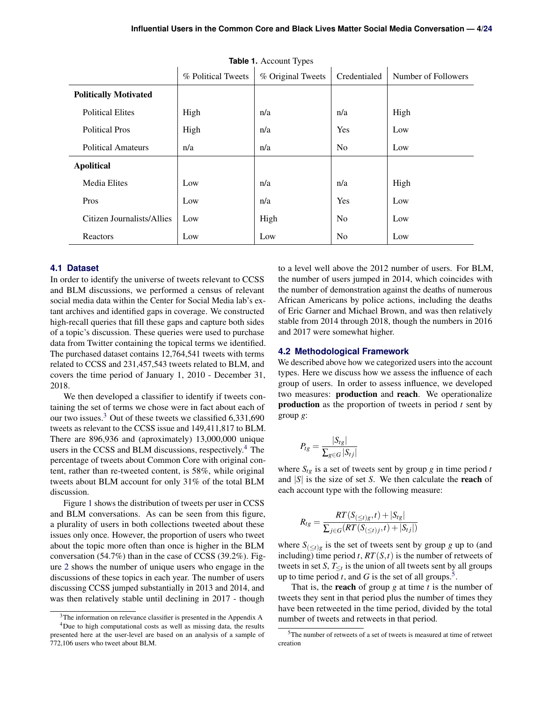|                              | <b>Table 1.</b> Account Types |                   |                |                     |  |  |
|------------------------------|-------------------------------|-------------------|----------------|---------------------|--|--|
|                              | % Political Tweets            | % Original Tweets | Credentialed   | Number of Followers |  |  |
| <b>Politically Motivated</b> |                               |                   |                |                     |  |  |
| <b>Political Elites</b>      | High                          | n/a               | n/a            | High                |  |  |
| <b>Political Pros</b>        | High                          | n/a               | Yes            | Low                 |  |  |
| <b>Political Amateurs</b>    | n/a                           | n/a               | N <sub>o</sub> | Low                 |  |  |
| <b>Apolitical</b>            |                               |                   |                |                     |  |  |
| <b>Media Elites</b>          | Low                           | n/a               | n/a            | High                |  |  |
| Pros                         | Low                           | n/a               | Yes            | Low                 |  |  |
| Citizen Journalists/Allies   | Low                           | High              | N <sub>o</sub> | Low                 |  |  |
| Reactors                     | Low                           | Low               | N <sub>0</sub> | Low                 |  |  |

**Table 1.** Account Types

#### <span id="page-4-0"></span>**4.1 Dataset**

In order to identify the universe of tweets relevant to CCSS and BLM discussions, we performed a census of relevant social media data within the Center for Social Media lab's extant archives and identified gaps in coverage. We constructed high-recall queries that fill these gaps and capture both sides of a topic's discussion. These queries were used to purchase data from Twitter containing the topical terms we identified. The purchased dataset contains 12,764,541 tweets with terms related to CCSS and 231,457,543 tweets related to BLM, and covers the time period of January 1, 2010 - December 31, 2018.

We then developed a classifier to identify if tweets containing the set of terms we chose were in fact about each of our two issues.[3](#page-4-2) Out of these tweets we classified 6,331,690 tweets as relevant to the CCSS issue and 149,411,817 to BLM. There are 896,936 and (aproximately) 13,000,000 unique users in the CCSS and BLM discussions, respectively.<sup>[4](#page-4-3)</sup> The percentage of tweets about Common Core with original content, rather than re-tweeted content, is 58%, while original tweets about BLM account for only 31% of the total BLM discussion.

Figure [1](#page-6-0) shows the distribution of tweets per user in CCSS and BLM conversations. As can be seen from this figure, a plurality of users in both collections tweeted about these issues only once. However, the proportion of users who tweet about the topic more often than once is higher in the BLM conversation (54.7%) than in the case of CCSS (39.2%). Figure [2](#page-6-1) shows the number of unique users who engage in the discussions of these topics in each year. The number of users discussing CCSS jumped substantially in 2013 and 2014, and was then relatively stable until declining in 2017 - though

to a level well above the 2012 number of users. For BLM, the number of users jumped in 2014, which coincides with the number of demonstration against the deaths of numerous African Americans by police actions, including the deaths of Eric Garner and Michael Brown, and was then relatively stable from 2014 through 2018, though the numbers in 2016 and 2017 were somewhat higher.

#### <span id="page-4-1"></span>**4.2 Methodological Framework**

We described above how we categorized users into the account types. Here we discuss how we assess the influence of each group of users. In order to assess influence, we developed two measures: production and reach. We operationalize production as the proportion of tweets in period *t* sent by group *g*:

$$
P_{tg} = \frac{|S_{tg}|}{\sum_{g \in G} |S_{tj}|}
$$

where  $S_{tg}$  is a set of tweets sent by group *g* in time period *t* and |*S*| is the size of set *S*. We then calculate the reach of each account type with the following measure:

$$
R_{tg} = \frac{RT(S_{(\leq t)g}, t) + |S_{tg}|}{\sum_{j \in G} (RT(S_{(\leq t)j}, t) + |S_{tj}|)}
$$

where  $S_{\left(\leq t\right)g}$  is the set of tweets sent by group *g* up to (and including) time period  $t$ ,  $RT(S,t)$  is the number of retweets of tweets in set *S*,  $T_{\leq t}$  is the union of all tweets sent by all groups up to time period  $t$ , and  $G$  is the set of all groups.<sup>[5](#page-4-4)</sup>.

That is, the reach of group *g* at time *t* is the number of tweets they sent in that period plus the number of times they have been retweeted in the time period, divided by the total number of tweets and retweets in that period.

<span id="page-4-3"></span><span id="page-4-2"></span><sup>&</sup>lt;sup>3</sup>The information on relevance classifier is presented in the Appendix A <sup>4</sup>Due to high computational costs as well as missing data, the results presented here at the user-level are based on an analysis of a sample of 772,106 users who tweet about BLM.

<span id="page-4-4"></span><sup>5</sup>The number of retweets of a set of tweets is measured at time of retweet creation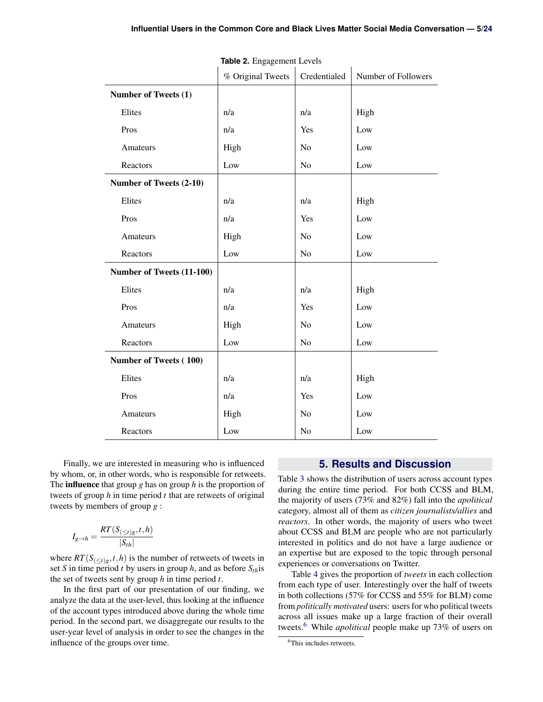|                           | % Original Tweets | Credentialed   | Number of Followers |
|---------------------------|-------------------|----------------|---------------------|
| Number of Tweets (1)      |                   |                |                     |
| Elites                    | n/a               | n/a            | High                |
| Pros                      | n/a               | Yes            | Low                 |
| Amateurs                  | High              | No             | Low                 |
| Reactors                  | Low               | No             | Low                 |
| Number of Tweets (2-10)   |                   |                |                     |
| Elites                    | n/a               | n/a            | High                |
| Pros                      | n/a               | Yes            | Low                 |
| Amateurs                  | High              | N <sub>o</sub> | Low                 |
| Reactors                  | Low               | N <sub>o</sub> | Low                 |
| Number of Tweets (11-100) |                   |                |                     |
| Elites                    | n/a               | n/a            | High                |
| Pros                      | n/a               | Yes            | Low                 |
| Amateurs                  | High              | No             | Low                 |
| Reactors                  | Low               | No             | Low                 |
| Number of Tweets (100)    |                   |                |                     |
| Elites                    | n/a               | n/a            | High                |
| Pros                      | n/a               | Yes            | Low                 |
| Amateurs                  | High              | No             | Low                 |
| Reactors                  | Low               | No             | Low                 |

**Table 2.** Engagement Levels

Finally, we are interested in measuring who is influenced by whom, or, in other words, who is responsible for retweets. The influence that group *g* has on group *h* is the proportion of tweets of group *h* in time period *t* that are retweets of original tweets by members of group *g* :

$$
I_{g \to h} = \frac{RT(S_{(\leq t)g}, t, h)}{|S_{th}|}
$$

where  $RT(S_{\left(\le t\right)g}, t, h)$  is the number of retweets of tweets in set *S* in time period *t* by users in group *h*, and as before *Sth*is the set of tweets sent by group *h* in time period *t*.

In the first part of our presentation of our finding, we analyze the data at the user-level, thus looking at the influence of the account types introduced above during the whole time period. In the second part, we disaggregate our results to the user-year level of analysis in order to see the changes in the influence of the groups over time.

#### **5. Results and Discussion**

<span id="page-5-0"></span>Table [3](#page-7-0) shows the distribution of users across account types during the entire time period. For both CCSS and BLM, the majority of users (73% and 82%) fall into the *apolitical* category, almost all of them as *citizen journalists/allies* and *reactors*. In other words, the majority of users who tweet about CCSS and BLM are people who are not particularly interested in politics and do not have a large audience or an expertise but are exposed to the topic through personal experiences or conversations on Twitter.

Table [4](#page-7-1) gives the proportion of *tweets* in each collection from each type of user. Interestingly over the half of tweets in both collections (57% for CCSS and 55% for BLM) come from *politically motivated* users: users for who political tweets across all issues make up a large fraction of their overall tweets.[6](#page-5-1) While *apolitical* people make up 73% of users on

<span id="page-5-1"></span><sup>&</sup>lt;sup>6</sup>This includes retweets.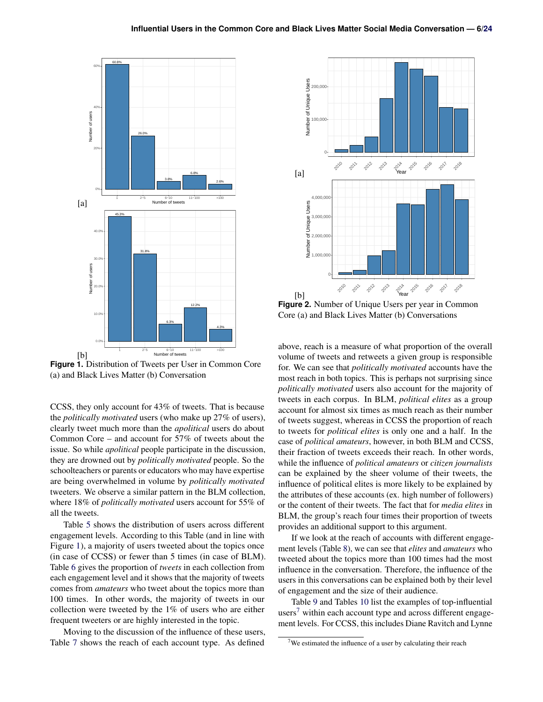<span id="page-6-0"></span>

**Figure 1.** Distribution of Tweets per User in Common Core (a) and Black Lives Matter (b) Conversation

CCSS, they only account for 43% of tweets. That is because the *politically motivated* users (who make up 27% of users), clearly tweet much more than the *apolitical* users do about Common Core – and account for 57% of tweets about the issue. So while *apolitical* people participate in the discussion, they are drowned out by *politically motivated* people. So the schoolteachers or parents or educators who may have expertise are being overwhelmed in volume by *politically motivated* tweeters. We observe a similar pattern in the BLM collection, where 18% of *politically motivated* users account for 55% of all the tweets.

Table [5](#page-8-0) shows the distribution of users across different engagement levels. According to this Table (and in line with Figure [1\)](#page-6-0), a majority of users tweeted about the topics once (in case of CCSS) or fewer than 5 times (in case of BLM). Table [6](#page-8-1) gives the proportion of *tweets* in each collection from each engagement level and it shows that the majority of tweets comes from *amateurs* who tweet about the topics more than 100 times. In other words, the majority of tweets in our collection were tweeted by the 1% of users who are either frequent tweeters or are highly interested in the topic.

Moving to the discussion of the influence of these users, Table [7](#page-9-0) shows the reach of each account type. As defined

<span id="page-6-1"></span>

**Figure 2.** Number of Unique Users per year in Common Core (a) and Black Lives Matter (b) Conversations

above, reach is a measure of what proportion of the overall volume of tweets and retweets a given group is responsible for. We can see that *politically motivated* accounts have the most reach in both topics. This is perhaps not surprising since *politically motivated* users also account for the majority of tweets in each corpus. In BLM, *political elites* as a group account for almost six times as much reach as their number of tweets suggest, whereas in CCSS the proportion of reach to tweets for *political elites* is only one and a half. In the case of *political amateurs*, however, in both BLM and CCSS, their fraction of tweets exceeds their reach. In other words, while the influence of *political amateurs* or *citizen journalists* can be explained by the sheer volume of their tweets, the influence of political elites is more likely to be explained by the attributes of these accounts (ex. high number of followers) or the content of their tweets. The fact that for *media elites* in BLM, the group's reach four times their proportion of tweets provides an additional support to this argument.

If we look at the reach of accounts with different engagement levels (Table [8\)](#page-9-1), we can see that *elites* and *amateurs* who tweeted about the topics more than 100 times had the most influence in the conversation. Therefore, the influence of the users in this conversations can be explained both by their level of engagement and the size of their audience.

Table [9](#page-10-0) and Tables [10](#page-10-1) list the examples of top-influential users<sup>[7](#page-6-2)</sup> within each account type and across different engagement levels. For CCSS, this includes Diane Ravitch and Lynne

<span id="page-6-2"></span> $7$ We estimated the influence of a user by calculating their reach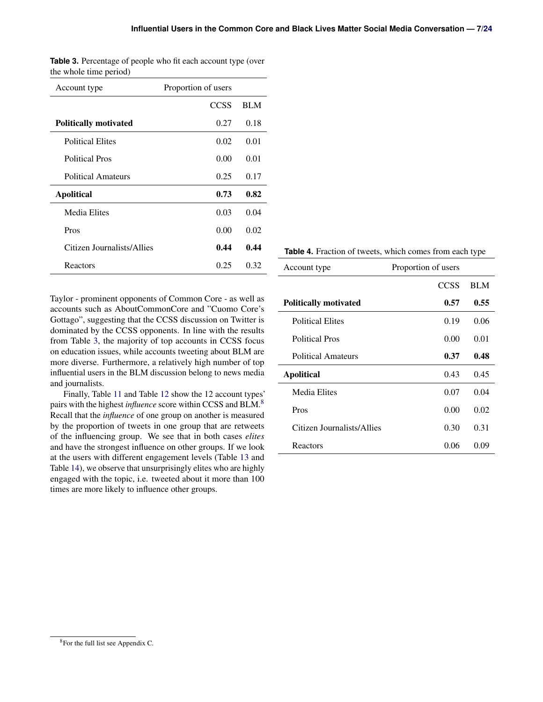| Account type                 | Proportion of users |            |
|------------------------------|---------------------|------------|
|                              | <b>CCSS</b>         | <b>BLM</b> |
| <b>Politically motivated</b> | 0.27                | 0.18       |
| <b>Political Elites</b>      | 0.02                | 0.01       |
| <b>Political Pros</b>        | 0.00                | 0.01       |
| Political Amateurs           | 0.25                | 0.17       |
| <b>Apolitical</b>            | 0.73                | 0.82       |
| Media Elites                 | 0.03                | 0.04       |
| Pros                         | 0.00                | 0.02       |
| Citizen Journalists/Allies   | 0.44                | 0.44       |
| Reactors                     | 0.25                | 0.32       |

<span id="page-7-0"></span>**Table 3.** Percentage of people who fit each account type (over the whole time period)

Taylor - prominent opponents of Common Core - as well as accounts such as AboutCommonCore and "Cuomo Core's Gottago", suggesting that the CCSS discussion on Twitter is dominated by the CCSS opponents. In line with the results from Table [3,](#page-7-0) the majority of top accounts in CCSS focus on education issues, while accounts tweeting about BLM are more diverse. Furthermore, a relatively high number of top influential users in the BLM discussion belong to news media and journalists.

Finally, Table [11](#page-11-0) and Table [12](#page-11-1) show the 12 account types' pairs with the highest *influence* score within CCSS and BLM.[8](#page-7-2) Recall that the *influence* of one group on another is measured by the proportion of tweets in one group that are retweets of the influencing group. We see that in both cases *elites* and have the strongest influence on other groups. If we look at the users with different engagement levels (Table [13](#page-11-2) and Table [14\)](#page-11-3), we observe that unsurprisingly elites who are highly engaged with the topic, i.e. tweeted about it more than 100 times are more likely to influence other groups.

#### <span id="page-7-1"></span>**Table 4.** Fraction of tweets, which comes from each type

| Proportion of users<br>Account type |      |            |
|-------------------------------------|------|------------|
|                                     | CCSS | <b>BLM</b> |
| <b>Politically motivated</b>        | 0.57 | 0.55       |
| <b>Political Elites</b>             | 0.19 | 0.06       |
| <b>Political Pros</b>               | 0.00 | 0.01       |
| <b>Political Amateurs</b>           | 0.37 | 0.48       |
| <b>Apolitical</b>                   | 0.43 | 0.45       |
| Media Elites                        | 0.07 | 0.04       |
| Pros                                | 0.00 | 0.02       |
| Citizen Journalists/Allies          | 0.30 | 0.31       |
| Reactors                            | 0.06 | 0.09       |

<span id="page-7-2"></span><sup>8</sup>For the full list see Appendix C.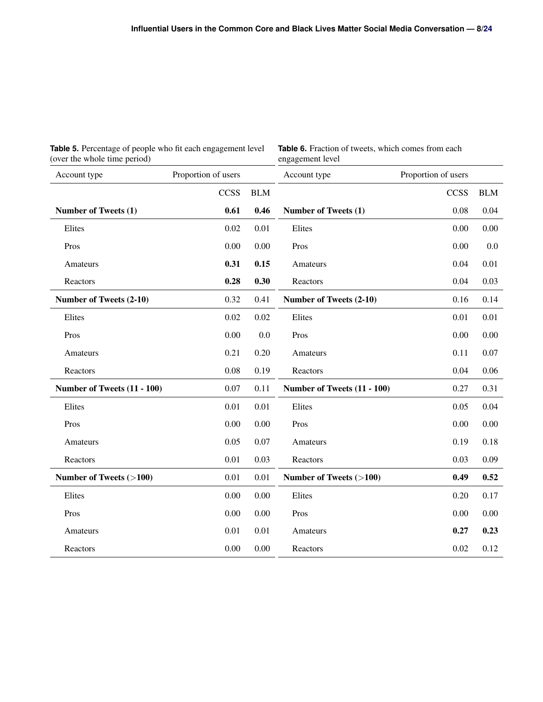<span id="page-8-0"></span>

| Table 5. Percentage of people who fit each engagement level |  |  |  |
|-------------------------------------------------------------|--|--|--|
| (over the whole time period)                                |  |  |  |

<span id="page-8-1"></span>**Table 6.** Fraction of tweets, which comes from each engagement level

| Account type                | Proportion of users |            | Account type                | Proportion of users |            |
|-----------------------------|---------------------|------------|-----------------------------|---------------------|------------|
|                             | <b>CCSS</b>         | <b>BLM</b> |                             | <b>CCSS</b>         | <b>BLM</b> |
| Number of Tweets (1)        | 0.61                | 0.46       | Number of Tweets (1)        | 0.08                | 0.04       |
| Elites                      | 0.02                | 0.01       | Elites                      | 0.00                | 0.00       |
| Pros                        | 0.00                | 0.00       | Pros                        | 0.00                | 0.0        |
| Amateurs                    | 0.31                | 0.15       | Amateurs                    | 0.04                | 0.01       |
| Reactors                    | 0.28                | 0.30       | Reactors                    | 0.04                | 0.03       |
| Number of Tweets (2-10)     | 0.32                | 0.41       | Number of Tweets (2-10)     | 0.16                | 0.14       |
| Elites                      | 0.02                | 0.02       | Elites                      | 0.01                | 0.01       |
| Pros                        | 0.00                | 0.0        | Pros                        | 0.00                | 0.00       |
| Amateurs                    | 0.21                | 0.20       | Amateurs                    | 0.11                | 0.07       |
| Reactors                    | 0.08                | 0.19       | Reactors                    | 0.04                | 0.06       |
| Number of Tweets (11 - 100) | 0.07                | 0.11       | Number of Tweets (11 - 100) | 0.27                | 0.31       |
| Elites                      | 0.01                | 0.01       | Elites                      | 0.05                | 0.04       |
| Pros                        | 0.00                | 0.00       | Pros                        | 0.00                | 0.00       |
| Amateurs                    | 0.05                | 0.07       | Amateurs                    | 0.19                | 0.18       |
| Reactors                    | 0.01                | 0.03       | Reactors                    | 0.03                | 0.09       |
| Number of Tweets (>100)     | 0.01                | 0.01       | Number of Tweets (>100)     | 0.49                | 0.52       |
| Elites                      | 0.00                | 0.00       | Elites                      | 0.20                | 0.17       |
| Pros                        | 0.00                | 0.00       | Pros                        | 0.00                | 0.00       |
| Amateurs                    | 0.01                | 0.01       | Amateurs                    | 0.27                | 0.23       |
| Reactors                    | $0.00\,$            | 0.00       | Reactors                    | 0.02                | 0.12       |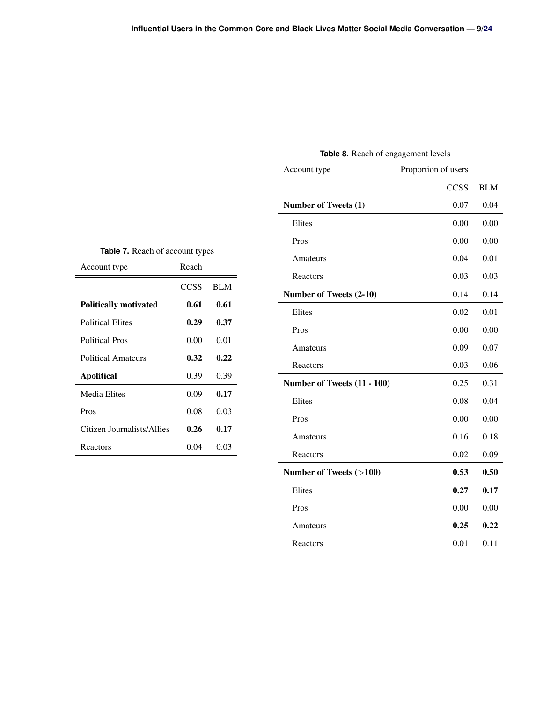<span id="page-9-1"></span>

| Table 8. Reach of engagement levels |             |            |  |  |
|-------------------------------------|-------------|------------|--|--|
| Proportion of users<br>Account type |             |            |  |  |
|                                     | <b>CCSS</b> | <b>BLM</b> |  |  |
| <b>Number of Tweets (1)</b>         | 0.07        | 0.04       |  |  |
| Elites                              | 0.00        | 0.00       |  |  |
| Pros                                | 0.00        | 0.00       |  |  |
| Amateurs                            | 0.04        | 0.01       |  |  |
| Reactors                            | 0.03        | 0.03       |  |  |
| Number of Tweets (2-10)             | 0.14        | 0.14       |  |  |
| Elites                              | 0.02        | 0.01       |  |  |
| Pros                                | 0.00        | 0.00       |  |  |
| Amateurs                            | 0.09        | 0.07       |  |  |
| Reactors                            | 0.03        | 0.06       |  |  |
| Number of Tweets (11 - 100)         | 0.25        | 0.31       |  |  |
| Elites                              | 0.08        | 0.04       |  |  |
| Pros                                | 0.00        | 0.00       |  |  |
| Amateurs                            | 0.16        | 0.18       |  |  |
| Reactors                            | 0.02        | 0.09       |  |  |
| Number of Tweets (>100)             | 0.53        | 0.50       |  |  |
| Elites                              | 0.27        | 0.17       |  |  |
| Pros                                | 0.00        | 0.00       |  |  |
| Amateurs                            | 0.25        | 0.22       |  |  |
| Reactors                            | 0.01        | 0.11       |  |  |

**Table 7.** Reach of account types

<span id="page-9-0"></span>

| Account type                 | Reach |            |
|------------------------------|-------|------------|
|                              | CCSS  | <b>BLM</b> |
| <b>Politically motivated</b> | 0.61  | 0.61       |
| <b>Political Elites</b>      | 0.29  | 0.37       |
| <b>Political Pros</b>        | 0.00  | 0.01       |
| Political Amateurs           | 0.32  | 0.22       |
| <b>Apolitical</b>            | 0.39  | 0.39       |
| Media Elites                 | 0.09  | 0.17       |
| Pros                         | 0.08  | 0.03       |
| Citizen Journalists/Allies   | 0.26  | 0.17       |
| Reactors                     | 0.04  | 0.03       |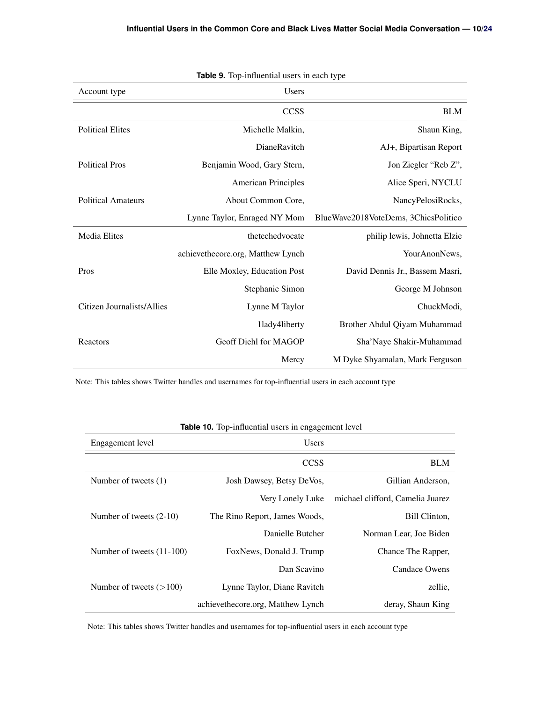<span id="page-10-0"></span>

| Table 9. Top-influential users in each type |                                   |                                      |  |  |
|---------------------------------------------|-----------------------------------|--------------------------------------|--|--|
| Account type                                | <b>Users</b>                      |                                      |  |  |
|                                             | <b>CCSS</b>                       | <b>BLM</b>                           |  |  |
| <b>Political Elites</b>                     | Michelle Malkin,                  | Shaun King,                          |  |  |
|                                             | DianeRavitch                      | AJ+, Bipartisan Report               |  |  |
| <b>Political Pros</b>                       | Benjamin Wood, Gary Stern,        | Jon Ziegler "Reb Z",                 |  |  |
|                                             | <b>American Principles</b>        | Alice Speri, NYCLU                   |  |  |
| <b>Political Amateurs</b>                   | About Common Core,                | NancyPelosiRocks,                    |  |  |
|                                             | Lynne Taylor, Enraged NY Mom      | BlueWave2018VoteDems, 3ChicsPolitico |  |  |
| <b>Media Elites</b>                         | thetechedyocate                   | philip lewis, Johnetta Elzie         |  |  |
|                                             | achievethecore.org, Matthew Lynch | YourAnonNews,                        |  |  |
| Pros                                        | Elle Moxley, Education Post       | David Dennis Jr., Bassem Masri,      |  |  |
|                                             | Stephanie Simon                   | George M Johnson                     |  |  |
| Citizen Journalists/Allies                  | Lynne M Taylor                    | ChuckModi,                           |  |  |
|                                             | 1lady4liberty                     | Brother Abdul Qiyam Muhammad         |  |  |
| Reactors                                    | Geoff Diehl for MAGOP             | Sha'Naye Shakir-Muhammad             |  |  |
|                                             | Mercy                             | M Dyke Shyamalan, Mark Ferguson      |  |  |

Note: This tables shows Twitter handles and usernames for top-influential users in each account type

<span id="page-10-1"></span>

|                           | <b>rable To.</b> Top-influential users in engagement level |                                  |  |  |
|---------------------------|------------------------------------------------------------|----------------------------------|--|--|
| Engagement level          | <b>Users</b>                                               |                                  |  |  |
|                           | <b>CCSS</b>                                                | <b>BLM</b>                       |  |  |
| Number of tweets (1)      | Josh Dawsey, Betsy DeVos,                                  | Gillian Anderson,                |  |  |
|                           | Very Lonely Luke                                           | michael clifford, Camelia Juarez |  |  |
| Number of tweets $(2-10)$ | The Rino Report, James Woods,                              | Bill Clinton,                    |  |  |
|                           | Danielle Butcher                                           | Norman Lear, Joe Biden           |  |  |
| Number of tweets (11-100) | FoxNews, Donald J. Trump                                   | Chance The Rapper,               |  |  |
|                           | Dan Scavino                                                | <b>Candace Owens</b>             |  |  |
| Number of tweets $(>100)$ | Lynne Taylor, Diane Ravitch                                | zellie,                          |  |  |
|                           | achievethecore.org, Matthew Lynch                          | deray, Shaun King                |  |  |

# **Table 10.** Top-influential users in engagement level

Note: This tables shows Twitter handles and usernames for top-influential users in each account type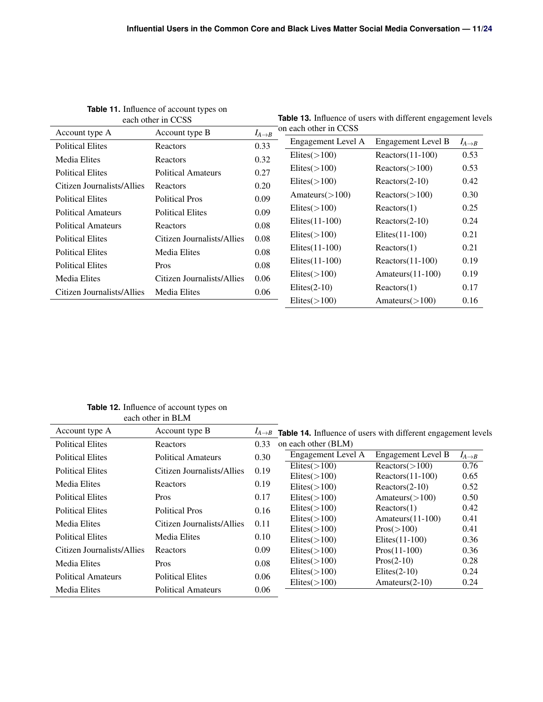<span id="page-11-0"></span>

| each other in CCSS         |                            |                      | <b>Table 13.</b> Influence of users with different engagement level |                     |                      |
|----------------------------|----------------------------|----------------------|---------------------------------------------------------------------|---------------------|----------------------|
| Account type A             | Account type B             | $I_{A\rightarrow B}$ | on each other in CCSS                                               |                     |                      |
| <b>Political Elites</b>    | Reactors                   | 0.33                 | Engagement Level A                                                  | Engagement Level B  | $I_{A\rightarrow B}$ |
| Media Elites               | Reactors                   | 0.32                 | $E$ lites( $>$ 100)                                                 | $Reactors(11-100)$  | 0.53                 |
| <b>Political Elites</b>    | <b>Political Amateurs</b>  | 0.27                 | $E$ lites( $>$ 100)                                                 | Reactors (>100)     | 0.53                 |
| Citizen Journalists/Allies | <b>Reactors</b>            | 0.20                 | $E$ lites $(>100)$                                                  | $Reactors(2-10)$    | 0.42                 |
| <b>Political Elites</b>    | <b>Political Pros</b>      | 0.09                 | Amateurs( $>100$ )                                                  | Reactors (>100)     | 0.30                 |
|                            |                            |                      | $E$ lites $(>100)$                                                  | Reactors(1)         | 0.25                 |
| <b>Political Amateurs</b>  | <b>Political Elites</b>    | 0.09                 | Elites $(11-100)$                                                   | $Reactors(2-10)$    | 0.24                 |
| <b>Political Amateurs</b>  | Reactors                   | 0.08                 | $E$ lites $(>100)$                                                  | Elites $(11-100)$   | 0.21                 |
| <b>Political Elites</b>    | Citizen Journalists/Allies | 0.08                 |                                                                     |                     |                      |
| <b>Political Elites</b>    | <b>Media Elites</b>        | 0.08                 | Elites $(11-100)$                                                   | Reactors(1)         | 0.21                 |
| <b>Political Elites</b>    | Pros                       | 0.08                 | Elites $(11-100)$                                                   | $Reactors (11-100)$ | 0.19                 |
| Media Elites               | Citizen Journalists/Allies | 0.06                 | $E$ lites( $>$ 100)                                                 | Amateurs $(11-100)$ | 0.19                 |
| Citizen Journalists/Allies | <b>Media Elites</b>        | 0.06                 | $E$ lites $(2-10)$                                                  | Reactors(1)         | 0.17                 |
|                            |                            |                      | $E$ lites $(>100)$                                                  | Amateurs $(>100)$   | 0.16                 |
|                            |                            |                      |                                                                     |                     |                      |

**Table 11.** Influence of account types on

<span id="page-11-2"></span>**Table 13.** Influence of users with different engagement levels

<span id="page-11-3"></span>**Table 12.** Influence of account types on each other in BLM

<span id="page-11-1"></span>

| Account type A             | Account type B             |      | $I_{A\rightarrow B}$ Table 14. Influence of users with different engagement levels |                     |                      |
|----------------------------|----------------------------|------|------------------------------------------------------------------------------------|---------------------|----------------------|
| <b>Political Elites</b>    | Reactors                   | 0.33 | on each other (BLM)                                                                |                     |                      |
| <b>Political Elites</b>    | Political Amateurs         | 0.30 | Engagement Level A                                                                 | Engagement Level B  | $I_{A\rightarrow B}$ |
| <b>Political Elites</b>    | Citizen Journalists/Allies | 0.19 | $E$ lites $(>100)$                                                                 | Reactors (>100)     | 0.76                 |
|                            |                            |      | $E$ lites $(>100)$                                                                 | $Reactors (11-100)$ | 0.65                 |
| Media Elites               | Reactors                   | 0.19 | $E$ lites $(>100)$                                                                 | $Reactors(2-10)$    | 0.52                 |
| <b>Political Elites</b>    | Pros                       | 0.17 | $E$ lites $(>100)$                                                                 | Amateurs $(>100)$   | 0.50                 |
| <b>Political Elites</b>    | <b>Political Pros</b>      | 0.16 | $E$ lites $(>100)$                                                                 | Reactors(1)         | 0.42                 |
| Media Elites               | Citizen Journalists/Allies | 0.11 | $E$ lites $(>100)$                                                                 | Amateurs $(11-100)$ | 0.41                 |
|                            |                            |      | $E$ lites $(>100)$                                                                 | $Pros(>=100)$       | 0.41                 |
| <b>Political Elites</b>    | <b>Media Elites</b>        | 0.10 | $E$ lites $(>100)$                                                                 | Elites $(11-100)$   | 0.36                 |
| Citizen Journalists/Allies | Reactors                   | 0.09 | $E$ lites $(>100)$                                                                 | $Pros(11-100)$      | 0.36                 |
| <b>Media Elites</b>        | <b>Pros</b>                | 0.08 | $E$ lites $(>100)$                                                                 | $Pros(2-10)$        | 0.28                 |
|                            | <b>Political Elites</b>    |      | $E$ lites $(>100)$                                                                 | $E$ lites $(2-10)$  | 0.24                 |
| <b>Political Amateurs</b>  |                            | 0.06 | $E$ lites $(>100)$                                                                 | Amateurs $(2-10)$   | 0.24                 |
| <b>Media Elites</b>        | <b>Political Amateurs</b>  | 0.06 |                                                                                    |                     |                      |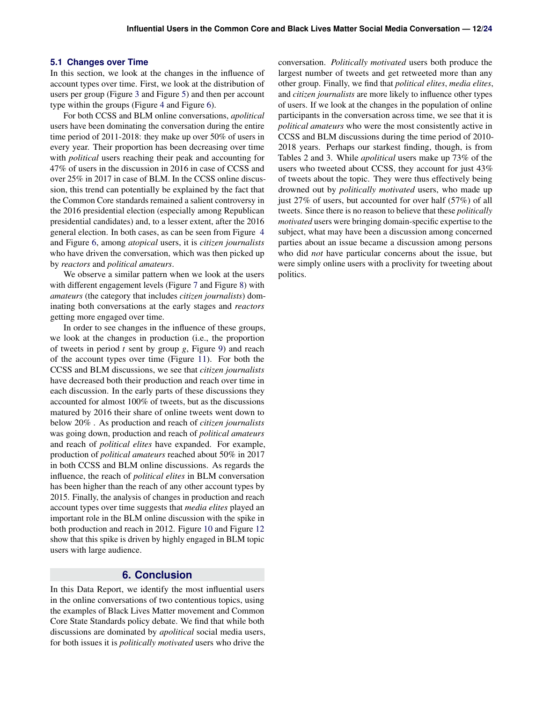#### <span id="page-12-0"></span>**5.1 Changes over Time**

In this section, we look at the changes in the influence of account types over time. First, we look at the distribution of users per group (Figure [3](#page-13-0) and Figure [5\)](#page-14-0) and then per account type within the groups (Figure [4](#page-13-1) and Figure [6\)](#page-14-1).

For both CCSS and BLM online conversations, *apolitical* users have been dominating the conversation during the entire time period of 2011-2018: they make up over 50% of users in every year. Their proportion has been decreasing over time with *political* users reaching their peak and accounting for 47% of users in the discussion in 2016 in case of CCSS and over 25% in 2017 in case of BLM. In the CCSS online discussion, this trend can potentially be explained by the fact that the Common Core standards remained a salient controversy in the 2016 presidential election (especially among Republican presidential candidates) and, to a lesser extent, after the 2016 general election. In both cases, as can be seen from Figure [4](#page-13-1) and Figure [6,](#page-14-1) among *atopical* users, it is *citizen journalists* who have driven the conversation, which was then picked up by *reactors* and *political amateurs*.

We observe a similar pattern when we look at the users with different engagement levels (Figure [7](#page-15-0) and Figure [8\)](#page-15-1) with *amateurs* (the category that includes *citizen journalists*) dominating both conversations at the early stages and *reactors* getting more engaged over time.

In order to see changes in the influence of these groups, we look at the changes in production (i.e., the proportion of tweets in period *t* sent by group *g*, Figure [9\)](#page-16-0) and reach of the account types over time (Figure [11\)](#page-18-0). For both the CCSS and BLM discussions, we see that *citizen journalists* have decreased both their production and reach over time in each discussion. In the early parts of these discussions they accounted for almost 100% of tweets, but as the discussions matured by 2016 their share of online tweets went down to below 20% . As production and reach of *citizen journalists* was going down, production and reach of *political amateurs* and reach of *political elites* have expanded. For example, production of *political amateurs* reached about 50% in 2017 in both CCSS and BLM online discussions. As regards the influence, the reach of *political elites* in BLM conversation has been higher than the reach of any other account types by 2015. Finally, the analysis of changes in production and reach account types over time suggests that *media elites* played an important role in the BLM online discussion with the spike in both production and reach in 2012. Figure [10](#page-17-0) and Figure [12](#page-19-0) show that this spike is driven by highly engaged in BLM topic users with large audience.

# **6. Conclusion**

<span id="page-12-1"></span>In this Data Report, we identify the most influential users in the online conversations of two contentious topics, using the examples of Black Lives Matter movement and Common Core State Standards policy debate. We find that while both discussions are dominated by *apolitical* social media users, for both issues it is *politically motivated* users who drive the

conversation. *Politically motivated* users both produce the largest number of tweets and get retweeted more than any other group. Finally, we find that *political elites*, *media elites*, and *citizen journalists* are more likely to influence other types of users. If we look at the changes in the population of online participants in the conversation across time, we see that it is *political amateurs* who were the most consistently active in CCSS and BLM discussions during the time period of 2010- 2018 years. Perhaps our starkest finding, though, is from Tables 2 and 3. While *apolitical* users make up 73% of the users who tweeted about CCSS, they account for just 43% of tweets about the topic. They were thus effectively being drowned out by *politically motivated* users, who made up just 27% of users, but accounted for over half (57%) of all tweets. Since there is no reason to believe that these *politically motivated* users were bringing domain-specific expertise to the subject, what may have been a discussion among concerned parties about an issue became a discussion among persons who did *not* have particular concerns about the issue, but were simply online users with a proclivity for tweeting about politics.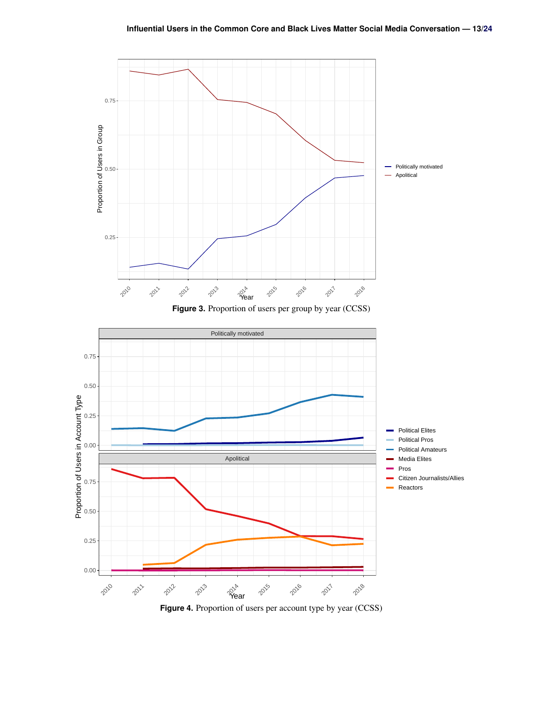<span id="page-13-1"></span><span id="page-13-0"></span>

**Figure 4.** Proportion of users per account type by year (CCSS)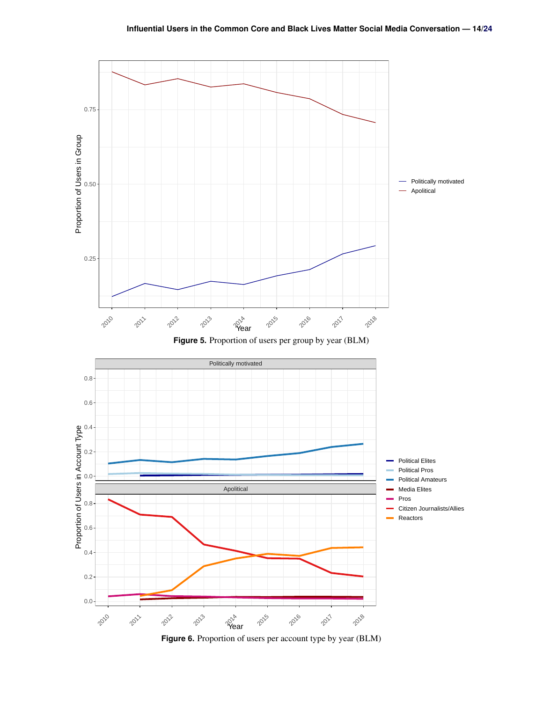<span id="page-14-1"></span><span id="page-14-0"></span>

**Figure 6.** Proportion of users per account type by year (BLM)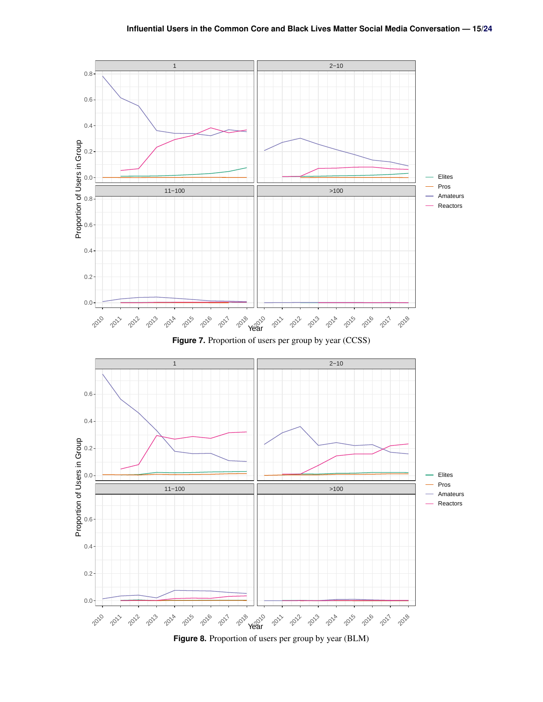<span id="page-15-1"></span><span id="page-15-0"></span>

**Figure 8.** Proportion of users per group by year (BLM)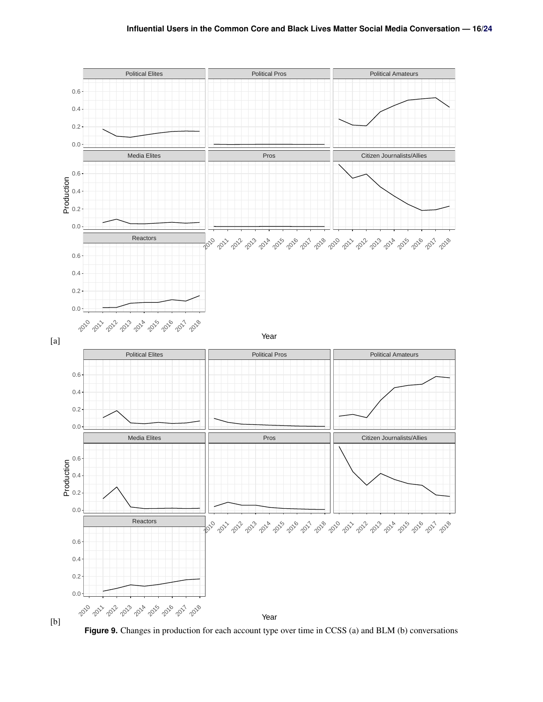<span id="page-16-0"></span>

[b]

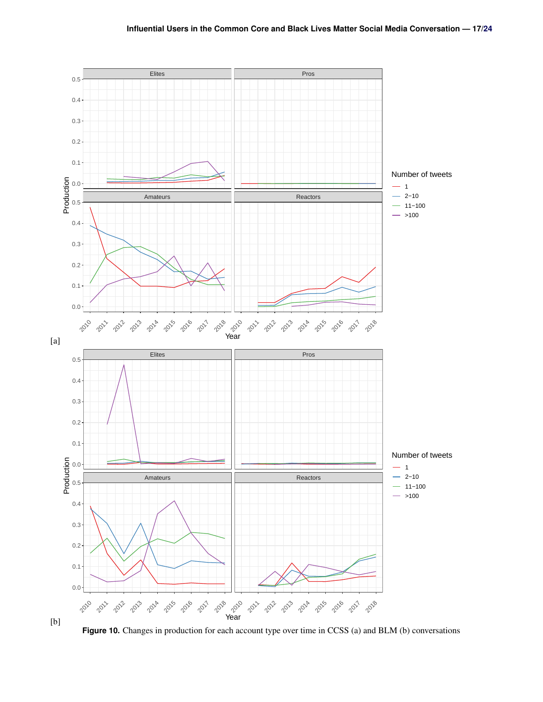<span id="page-17-0"></span>

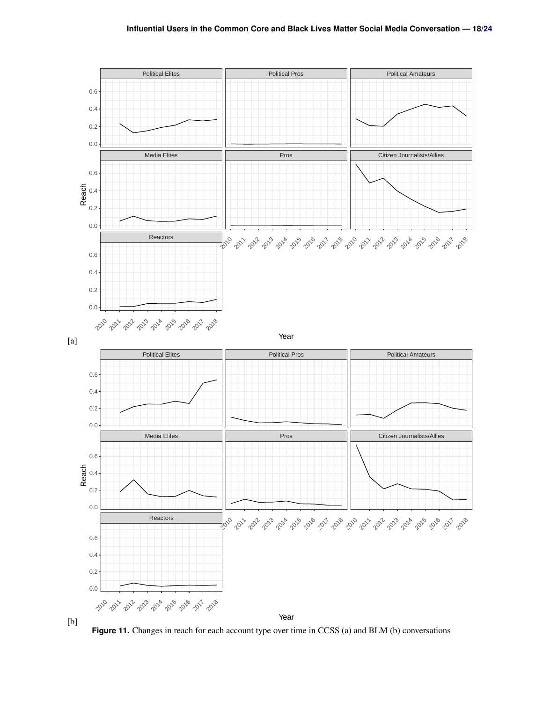<span id="page-18-0"></span>

[b]

Year

**Figure 11.** Changes in reach for each account type over time in CCSS (a) and BLM (b) conversations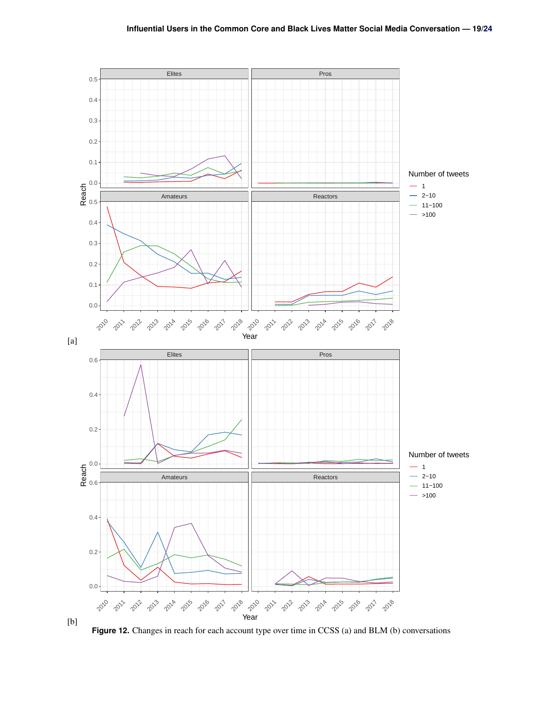<span id="page-19-0"></span>

**Figure 12.** Changes in reach for each account type over time in CCSS (a) and BLM (b) conversations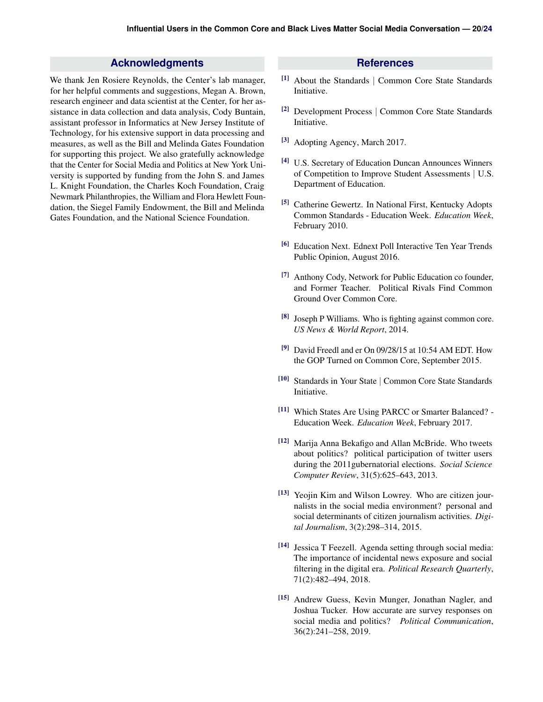# **Acknowledgments**

<span id="page-20-0"></span>We thank Jen Rosiere Reynolds, the Center's lab manager, for her helpful comments and suggestions, Megan A. Brown, research engineer and data scientist at the Center, for her assistance in data collection and data analysis, Cody Buntain, assistant professor in Informatics at New Jersey Institute of Technology, for his extensive support in data processing and measures, as well as the Bill and Melinda Gates Foundation for supporting this project. We also gratefully acknowledge that the Center for Social Media and Politics at New York University is supported by funding from the John S. and James L. Knight Foundation, the Charles Koch Foundation, Craig Newmark Philanthropies, the William and Flora Hewlett Foundation, the Siegel Family Endowment, the Bill and Melinda Gates Foundation, and the National Science Foundation.

#### **References**

- <span id="page-20-1"></span>[1] About the Standards | Common Core State Standards Initiative.
- <span id="page-20-2"></span>[2] Development Process | Common Core State Standards Initiative.
- <span id="page-20-3"></span>[3] Adopting Agency, March 2017.
- <span id="page-20-4"></span>[4] U.S. Secretary of Education Duncan Announces Winners of Competition to Improve Student Assessments | U.S. Department of Education.
- <span id="page-20-5"></span>[5] Catherine Gewertz. In National First, Kentucky Adopts Common Standards - Education Week. *Education Week*, February 2010.
- <span id="page-20-6"></span>[6] Education Next. Ednext Poll Interactive Ten Year Trends Public Opinion, August 2016.
- <span id="page-20-7"></span>[7] Anthony Cody, Network for Public Education co founder, and Former Teacher. Political Rivals Find Common Ground Over Common Core.
- <span id="page-20-8"></span>[8] Joseph P Williams. Who is fighting against common core. *US News & World Report*, 2014.
- <span id="page-20-9"></span>[9] David Freedl and er On  $09/28/15$  at 10:54 AM EDT. How the GOP Turned on Common Core, September 2015.
- <span id="page-20-10"></span>[10] Standards in Your State | Common Core State Standards Initiative.
- <span id="page-20-11"></span>[11] Which States Are Using PARCC or Smarter Balanced? - Education Week. *Education Week*, February 2017.
- <span id="page-20-12"></span>[12] Marija Anna Bekafigo and Allan McBride. Who tweets about politics? political participation of twitter users during the 2011gubernatorial elections. *Social Science Computer Review*, 31(5):625–643, 2013.
- <span id="page-20-13"></span>[13] Yeojin Kim and Wilson Lowrey. Who are citizen journalists in the social media environment? personal and social determinants of citizen journalism activities. *Digital Journalism*, 3(2):298–314, 2015.
- <span id="page-20-14"></span>[14] Jessica T Feezell. Agenda setting through social media: The importance of incidental news exposure and social filtering in the digital era. *Political Research Quarterly*, 71(2):482–494, 2018.
- <span id="page-20-15"></span>[15] Andrew Guess, Kevin Munger, Jonathan Nagler, and Joshua Tucker. How accurate are survey responses on social media and politics? *Political Communication*, 36(2):241–258, 2019.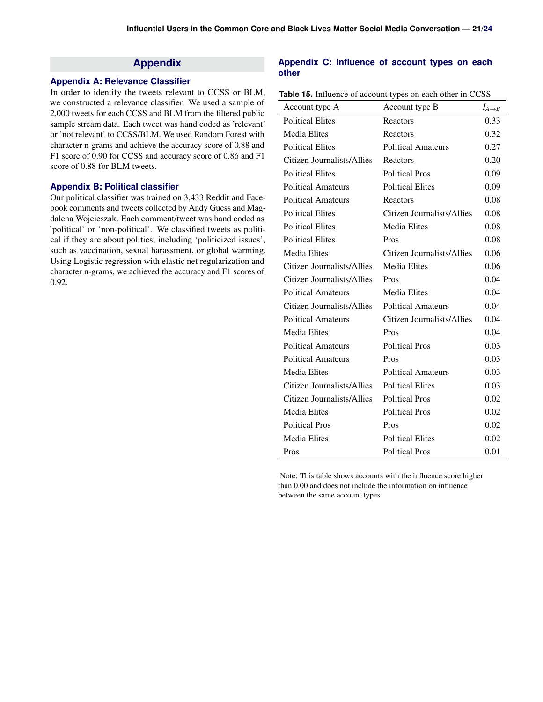# **Appendix**

#### **Appendix A: Relevance Classifier**

In order to identify the tweets relevant to CCSS or BLM, we constructed a relevance classifier. We used a sample of 2,000 tweets for each CCSS and BLM from the filtered public sample stream data. Each tweet was hand coded as 'relevant' or 'not relevant' to CCSS/BLM. We used Random Forest with character n-grams and achieve the accuracy score of 0.88 and F1 score of 0.90 for CCSS and accuracy score of 0.86 and F1 score of 0.88 for BLM tweets.

#### **Appendix B: Political classifier**

Our political classifier was trained on 3,433 Reddit and Facebook comments and tweets collected by Andy Guess and Magdalena Wojcieszak. Each comment/tweet was hand coded as 'political' or 'non-political'. We classified tweets as political if they are about politics, including 'politicized issues', such as vaccination, sexual harassment, or global warming. Using Logistic regression with elastic net regularization and character n-grams, we achieved the accuracy and F1 scores of 0.92.

#### **Appendix C: Influence of account types on each other**

| Account type A             | Account type B                    | $I_{A\rightarrow B}$ |
|----------------------------|-----------------------------------|----------------------|
| <b>Political Elites</b>    | Reactors                          | 0.33                 |
| <b>Media Elites</b>        | Reactors                          | 0.32                 |
| <b>Political Elites</b>    | <b>Political Amateurs</b>         | 0.27                 |
| Citizen Journalists/Allies | Reactors                          | 0.20                 |
| <b>Political Elites</b>    | <b>Political Pros</b>             | 0.09                 |
| <b>Political Amateurs</b>  | <b>Political Elites</b>           | 0.09                 |
| <b>Political Amateurs</b>  | Reactors                          | 0.08                 |
| <b>Political Elites</b>    | Citizen Journalists/Allies        | 0.08                 |
| <b>Political Elites</b>    | <b>Media Elites</b>               | 0.08                 |
| <b>Political Elites</b>    | Pros                              | 0.08                 |
| <b>Media Elites</b>        | <b>Citizen Journalists/Allies</b> | 0.06                 |
| Citizen Journalists/Allies | <b>Media Elites</b>               | 0.06                 |
| Citizen Journalists/Allies | Pros                              | 0.04                 |
| <b>Political Amateurs</b>  | <b>Media Elites</b>               | 0.04                 |
| Citizen Journalists/Allies | <b>Political Amateurs</b>         | 0.04                 |
| <b>Political Amateurs</b>  | Citizen Journalists/Allies        | 0.04                 |
| <b>Media Elites</b>        | Pros                              | 0.04                 |
| <b>Political Amateurs</b>  | <b>Political Pros</b>             | 0.03                 |
| <b>Political Amateurs</b>  | Pros                              | 0.03                 |
| <b>Media Elites</b>        | <b>Political Amateurs</b>         | 0.03                 |
| Citizen Journalists/Allies | <b>Political Elites</b>           | 0.03                 |
| Citizen Journalists/Allies | <b>Political Pros</b>             | 0.02                 |
| <b>Media Elites</b>        | <b>Political Pros</b>             | 0.02                 |
| <b>Political Pros</b>      | Pros                              | 0.02                 |
| <b>Media Elites</b>        | <b>Political Elites</b>           | 0.02                 |
| Pros                       | <b>Political Pros</b>             | 0.01                 |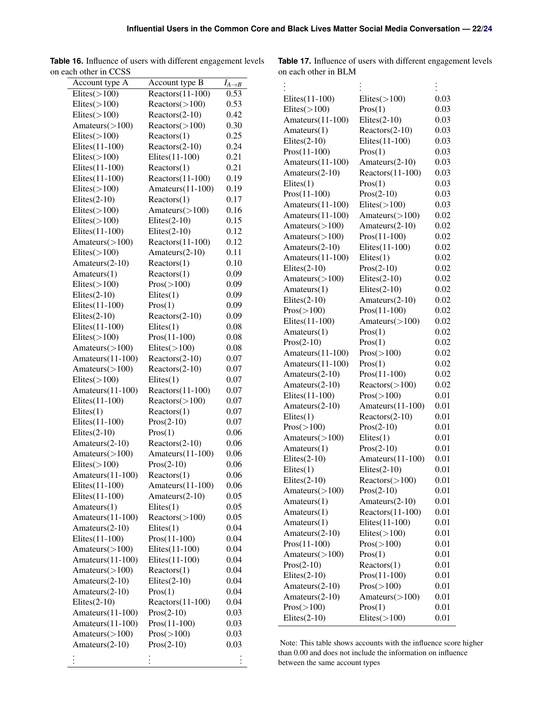| Account type A     | Account type B      | $I_{A\rightarrow B}$ |
|--------------------|---------------------|----------------------|
| $E$ lites $(>100)$ | $Reactors (11-100)$ | 0.53                 |
| $E$ lites $(>100)$ | Reactors (>100)     | 0.53                 |
| $E$ lites $(>100)$ | Reactors(2-10)      | 0.42                 |
| Amateurs $(>100)$  | Reactors (>100)     | 0.30                 |
| $E$ lites $(>100)$ | Reactors(1)         | 0.25                 |
| Elites(11-100)     | $Reactors(2-10)$    | 0.24                 |
| $E$ lites $(>100)$ | Elites(11-100)      | 0.21                 |
| Elites(11-100)     | Reactors(1)         | 0.21                 |
| Elites(11-100)     | $Reactors(11-100)$  | 0.19                 |
| $E$ lites $(>100)$ | Amateurs(11-100)    | 0.19                 |
| $E$ lites $(2-10)$ | Reactors(1)         | 0.17                 |
| $E$ lites $(>100)$ | Amateurs $(>100)$   | 0.16                 |
| $E$ lites $(>100)$ | Elites $(2-10)$     | 0.15                 |
| Elites(11-100)     | Elites $(2-10)$     | 0.12                 |
| Amateurs(>100)     | $Reactors(11-100)$  | 0.12                 |
| $E$ lites $(>100)$ | Amateurs(2-10)      | 0.11                 |
| Amateurs(2-10)     | Reactors(1)         | 0.10                 |
| Amateurs(1)        | Reactors(1)         | 0.09                 |
| $E$ lites $(>100)$ | Pros(>100)          | 0.09                 |
| $E$ lites $(2-10)$ | $E$ lites $(1)$     | 0.09                 |
| Elites(11-100)     | Pros(1)             |                      |
|                    |                     | 0.09                 |
| $E$ lites $(2-10)$ | $Reactors(2-10)$    | 0.09                 |
| Elites(11-100)     | $E$ lites $(1)$     | 0.08                 |
| $E$ lites $(>100)$ | $Pros(11-100)$      | 0.08                 |
| Amateurs $($ >100) | $E$ lites $(>100)$  | 0.08                 |
| Amateurs(11-100)   | $Reactors(2-10)$    | 0.07                 |
| Amateurs(>100)     | $Reactors(2-10)$    | 0.07                 |
| $E$ lites $(>100)$ | $E$ lites $(1)$     | 0.07                 |
| Amateurs(11-100)   | $Reactors(11-100)$  | 0.07                 |
| Elites(11-100)     | Reactors (>100)     | 0.07                 |
| $E$ lites $(1)$    | Reactors(1)         | 0.07                 |
| Elites(11-100)     | $Pros(2-10)$        | 0.07                 |
| $E$ lites $(2-10)$ | Pros(1)             | 0.06                 |
| Amateurs(2-10)     | $Reactors(2-10)$    | 0.06                 |
| Amateurs $(>100)$  | Amateurs(11-100)    | 0.06                 |
| $E$ lites $(>100)$ | $Pros(2-10)$        | 0.06                 |
| Amateurs(11-100)   | Reactors(1)         | 0.06                 |
| Elites(11-100)     | Amateurs(11-100)    | 0.06                 |
| Elites(11-100)     | Amateurs(2-10)      | 0.05                 |
| Amateurs(1)        | $E$ lites $(1)$     | 0.05                 |
| Amateurs(11-100)   | Reactors (>100)     | 0.05                 |
| Amateurs(2-10)     | $E$ lites $(1)$     | 0.04                 |
| Elites(11-100)     | $Pros(11-100)$      | 0.04                 |
| Amateurs $($ >100) | Elites(11-100)      | 0.04                 |
| Amateurs(11-100)   | Elites(11-100)      | 0.04                 |
| Amateurs $($ >100) | Reactors(1)         | 0.04                 |
| Amateurs(2-10)     | $E$ lites $(2-10)$  | 0.04                 |
| Amateurs(2-10)     | Pros(1)             | 0.04                 |
| $E$ lites $(2-10)$ | Reactors(11-100)    | 0.04                 |
| Amateurs(11-100)   | $Pros(2-10)$        | 0.03                 |
| Amateurs(11-100)   | $Pros(11-100)$      | 0.03                 |
| Amateurs $($ >100) | Pros(>100)          | 0.03                 |
| Amateurs $(2-10)$  | $Pros(2-10)$        | 0.03                 |
|                    |                     |                      |
|                    | $\vdots$            |                      |

**Table 16.** Influence of users with different engagement levels on each other in CCSS

**Table 17.** Influence of users with different engagement levels on each other in BLM

| Elites $(11-100)$   | $E$ lites( $>$ 100) | 0.03 |
|---------------------|---------------------|------|
| $E$ lites $($ >100) | Pros(1)             | 0.03 |
| Amateurs(11-100)    | $E$ lites $(2-10)$  | 0.03 |
| Amateurs(1)         | Reactors(2-10)      | 0.03 |
| $E$ lites $(2-10)$  | Elites(11-100)      | 0.03 |
| $Pros(11-100)$      | Pros(1)             | 0.03 |
| Amateurs(11-100)    | Amateurs(2-10)      | 0.03 |
| Amateurs(2-10)      | $Reactors(11-100)$  | 0.03 |
| $E$ lites $(1)$     | Pros(1)             | 0.03 |
| $Pros(11-100)$      | $Pros(2-10)$        | 0.03 |
| Amateurs(11-100)    | $E$ lites( $>$ 100) | 0.03 |
| Amateurs(11-100)    | Amateurs $(>100)$   | 0.02 |
| Amateurs $($ >100)  | Amateurs(2-10)      | 0.02 |
| Amateurs $($ >100)  | $Pros(11-100)$      | 0.02 |
| Amateurs(2-10)      | Elites(11-100)      | 0.02 |
| Amateurs(11-100)    | $E$ lites $(1)$     | 0.02 |
| $E$ lites $(2-10)$  | $Pros(2-10)$        | 0.02 |
| Amateurs $(>100)$   | $E$ lites $(2-10)$  | 0.02 |
| Amateurs(1)         | $E$ lites $(2-10)$  | 0.02 |
| $E$ lites $(2-10)$  | Amateurs(2-10)      | 0.02 |
| Pros( > 100)        | $Pros(11-100)$      | 0.02 |
| Elites(11-100)      | Amateurs $($ >100)  | 0.02 |
| Amateurs(1)         | Pros(1)             | 0.02 |
|                     |                     |      |
| $Pros(2-10)$        | Pros(1)             | 0.02 |
| Amateurs(11-100)    | Pros(>100)          | 0.02 |
| Amateurs(11-100)    | Pros(1)             | 0.02 |
| Amateurs(2-10)      | $Pros(11-100)$      | 0.02 |
| Amateurs(2-10)      | Reactors (>100)     | 0.02 |
| Elites(11-100)      | Pros(>100)          | 0.01 |
| Amateurs(2-10)      | Amateurs(11-100)    | 0.01 |
| $E$ lites $(1)$     | Reactors(2-10)      | 0.01 |
| Pros(>100)          | $Pros(2-10)$        | 0.01 |
| Amateurs $(>100)$   | $E$ lites $(1)$     | 0.01 |
| Amateurs(1)         | $Pros(2-10)$        | 0.01 |
| $E$ lites $(2-10)$  | Amateurs(11-100)    | 0.01 |
| $E$ lites $(1)$     | Elites $(2-10)$     | 0.01 |
| $E$ lites $(2-10)$  | Reactors(>100)      | 0.01 |
| Amateurs $($ >100)  | $Pros(2-10)$        | 0.01 |
| Amateurs(1)         | Amateurs(2-10)      | 0.01 |
| Amateurs(1)         | Reactors(11-100)    | 0.01 |
| Amateurs(1)         | Elites(11-100)      | 0.01 |
| Amateurs(2-10)      | $E$ lites $($ >100) | 0.01 |
| $Pros(11-100)$      | Pros(>100)          | 0.01 |
| Amateurs $(>100)$   | Pros(1)             | 0.01 |
| $Pros(2-10)$        | Reactors(1)         | 0.01 |
| $E$ lites $(2-10)$  | $Pros(11-100)$      | 0.01 |
| Amateurs(2-10)      | Pros(>100)          | 0.01 |
| Amateurs(2-10)      | Amateurs $(>100)$   | 0.01 |
| Pros(>100)          | Pros(1)             | 0.01 |
| $E$ lites $(2-10)$  | $E$ lites( $>$ 100) | 0.01 |
|                     |                     |      |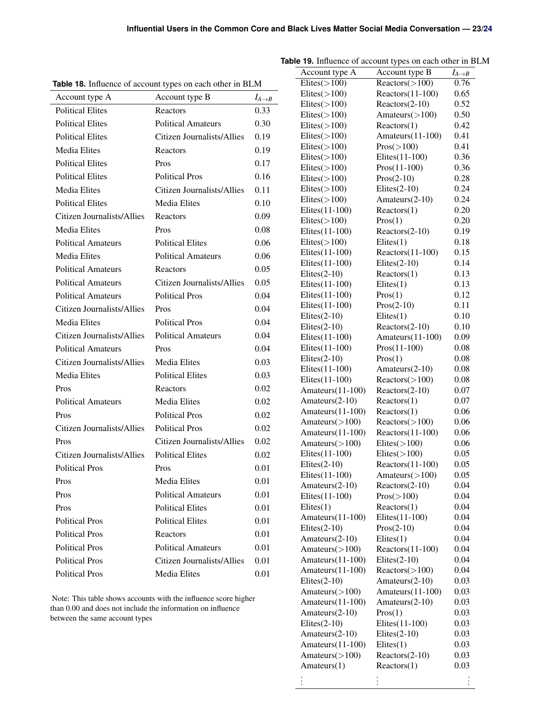| <b>Table 18.</b> Influence of account types on each other in BLM |                                   |                      |  |  |
|------------------------------------------------------------------|-----------------------------------|----------------------|--|--|
| Account type A                                                   | Account type B                    | $I_{A\rightarrow B}$ |  |  |
| <b>Political Elites</b>                                          | Reactors                          | 0.33                 |  |  |
| <b>Political Elites</b>                                          | <b>Political Amateurs</b>         | 0.30                 |  |  |
| <b>Political Elites</b>                                          | Citizen Journalists/Allies        | 0.19                 |  |  |
| <b>Media Elites</b>                                              | Reactors                          | 0.19                 |  |  |
| <b>Political Elites</b>                                          | Pros                              | 0.17                 |  |  |
| <b>Political Elites</b>                                          | <b>Political Pros</b>             | 0.16                 |  |  |
| <b>Media Elites</b>                                              | Citizen Journalists/Allies        | 0.11                 |  |  |
| <b>Political Elites</b>                                          | <b>Media Elites</b>               | 0.10                 |  |  |
| Citizen Journalists/Allies                                       | Reactors                          | 0.09                 |  |  |
| <b>Media Elites</b>                                              | Pros                              | 0.08                 |  |  |
| <b>Political Amateurs</b>                                        | <b>Political Elites</b>           | 0.06                 |  |  |
| <b>Media Elites</b>                                              | <b>Political Amateurs</b>         | 0.06                 |  |  |
| <b>Political Amateurs</b>                                        | Reactors                          | 0.05                 |  |  |
| <b>Political Amateurs</b>                                        | Citizen Journalists/Allies        | 0.05                 |  |  |
| <b>Political Amateurs</b>                                        | <b>Political Pros</b>             | 0.04                 |  |  |
| Citizen Journalists/Allies                                       | Pros                              | 0.04                 |  |  |
| <b>Media Elites</b>                                              | <b>Political Pros</b>             | 0.04                 |  |  |
| Citizen Journalists/Allies                                       | <b>Political Amateurs</b>         | 0.04                 |  |  |
| <b>Political Amateurs</b>                                        | Pros                              | 0.04                 |  |  |
| Citizen Journalists/Allies                                       | Media Elites                      | 0.03                 |  |  |
| <b>Media Elites</b>                                              | <b>Political Elites</b>           | 0.03                 |  |  |
| Pros                                                             | Reactors                          | 0.02                 |  |  |
| <b>Political Amateurs</b>                                        | <b>Media Elites</b>               | 0.02                 |  |  |
| Pros                                                             | <b>Political Pros</b>             | 0.02                 |  |  |
| Citizen Journalists/Allies                                       | <b>Political Pros</b>             | 0.02                 |  |  |
| Pros                                                             | <b>Citizen Journalists/Allies</b> | 0.02                 |  |  |
| Citizen Journalists/Allies                                       | <b>Political Elites</b>           | 0.02                 |  |  |
| <b>Political Pros</b>                                            | Pros                              | 0.01                 |  |  |
| Pros                                                             | Media Elites                      | 0.01                 |  |  |
| Pros                                                             | <b>Political Amateurs</b>         | 0.01                 |  |  |
| Pros                                                             | <b>Political Elites</b>           | 0.01                 |  |  |
| <b>Political Pros</b>                                            | <b>Political Elites</b>           | 0.01                 |  |  |
| <b>Political Pros</b>                                            | Reactors                          | 0.01                 |  |  |
| <b>Political Pros</b>                                            | <b>Political Amateurs</b>         | 0.01                 |  |  |
| <b>Political Pros</b>                                            | Citizen Journalists/Allies        | 0.01                 |  |  |
| <b>Political Pros</b>                                            | Media Elites                      | 0.01                 |  |  |

**Table 18.** Influence of account types on each other in BLM

# **Table 19.** Influence of account types on each other in BLM

| Account type A             | Account type B      | $I_{A\rightarrow B}$ |
|----------------------------|---------------------|----------------------|
| Elites $(\overline{>100})$ | Reactors (>100)     | 0.76                 |
| $E$ lites $(>100)$         | $Reactors(11-100)$  | 0.65                 |
| $E$ lites $(>100)$         | Reactors(2-10)      | 0.52                 |
| $E$ lites $(>100)$         | Amateurs $(>100)$   | 0.50                 |
| $E$ lites $(>100)$         | Reactors(1)         | 0.42                 |
| $E$ lites $(>100)$         | Amateurs(11-100)    | 0.41                 |
| $E$ lites $($ >100)        | Pros( > 100)        | 0.41                 |
| $E$ lites $(>100)$         | Elites(11-100)      | 0.36                 |
| $E$ lites $(>100)$         | $Pros(11-100)$      | 0.36                 |
| $E$ lites $(>100)$         | $Pros(2-10)$        | 0.28                 |
| $E$ lites $(>100)$         | $E$ lites $(2-10)$  | 0.24                 |
| $E$ lites $(>100)$         | Amateurs(2-10)      | 0.24                 |
| Elites(11-100)             | Reactors(1)         | 0.20                 |
|                            |                     |                      |
| $E$ lites $(>100)$         | Pros(1)             | 0.20                 |
| Elites(11-100)             | Reactors(2-10)      | 0.19                 |
| $E$ lites $(>100)$         | $E$ lites $(1)$     | 0.18                 |
| Elites(11-100)             | $Reactors (11-100)$ | 0.15                 |
| Elites(11-100)             | Elites $(2-10)$     | 0.14                 |
| $E$ lites $(2-10)$         | Reactors(1)         | 0.13                 |
| Elites(11-100)             | $E$ lites $(1)$     | 0.13                 |
| Elites(11-100)             | Pros(1)             | 0.12                 |
| Elites(11-100)             | $Pros(2-10)$        | 0.11                 |
| Elites $(2-10)$            | $E$ lites $(1)$     | 0.10                 |
| $E$ lites $(2-10)$         | Reactors(2-10)      | 0.10                 |
| Elites(11-100)             | Amateurs(11-100)    | 0.09                 |
| Elites(11-100)             | Pros(11-100)        | 0.08                 |
| $E$ lites $(2-10)$         | Pros(1)             | 0.08                 |
| Elites(11-100)             | Amateurs(2-10)      | 0.08                 |
| Elites(11-100)             | Reactors (>100)     | 0.08                 |
| Amateurs(11-100)           | Reactors(2-10)      | 0.07                 |
| Amateurs(2-10)             | Reactors(1)         | 0.07                 |
| Amateurs(11-100)           | Reactors(1)         | 0.06                 |
| Amateurs $(>100)$          | Reactors (>100)     | 0.06                 |
| Amateurs(11-100)           | $Reactors (11-100)$ | 0.06                 |
| Amateurs $(>100)$          | $E$ lites( $>$ 100) | 0.06                 |
| Elites(11-100)             | $E$ lites( $>$ 100) | 0.05                 |
| $E$ lites $(2-10)$         | $Reactors(11-100)$  | 0.05                 |
| Elites(11-100)             | Amateurs $($ >100)  | 0.05                 |
| Amateurs(2-10)             | Reactors(2-10)      | 0.04                 |
| Elites(11-100)             | Pros(>100)          |                      |
| $E$ lites $(1)$            | Reactors(1)         | 0.04<br>0.04         |
|                            | Elites(11-100)      |                      |
| Amateurs(11-100)           |                     | 0.04                 |
| $E$ lites $(2-10)$         | $Pros(2-10)$        | 0.04                 |
| Amateurs(2-10)             | $E$ lites $(1)$     | 0.04                 |
| Amateurs $($ >100)         | $Reactors(11-100)$  | 0.04                 |
| Amateurs(11-100)           | $E$ lites $(2-10)$  | 0.04                 |
| Amateurs(11-100)           | Reactors (>100)     | 0.04                 |
| $E$ lites $(2-10)$         | Amateurs(2-10)      | 0.03                 |
| Amateurs $(>100)$          | Amateurs(11-100)    | 0.03                 |
| Amateurs(11-100)           | Amateurs(2-10)      | 0.03                 |
| Amateurs(2-10)             | Pros(1)             | 0.03                 |
| $E$ lites $(2-10)$         | Elites(11-100)      | 0.03                 |
| Amateurs(2-10)             | $E$ lites $(2-10)$  | 0.03                 |
| Amateurs(11-100)           | $E$ lites $(1)$     | 0.03                 |
| Amateurs $($ >100)         | Reactors(2-10)      | 0.03                 |
| Amateurs(1)                | Reactors(1)         | 0.03                 |
|                            |                     |                      |
|                            |                     |                      |